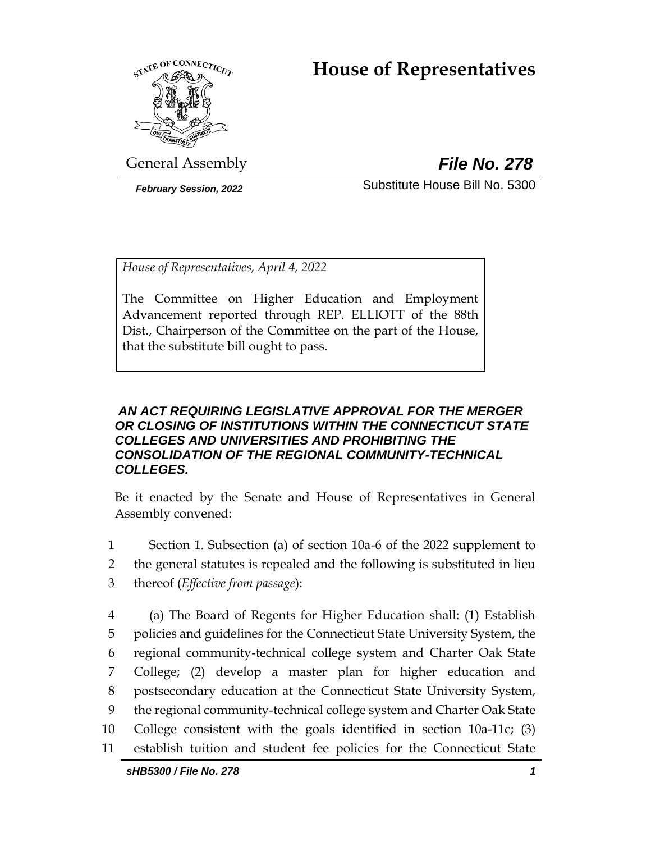# **House of Representatives**



General Assembly *File No. 278*

*February Session, 2022* Substitute House Bill No. 5300

*House of Representatives, April 4, 2022*

The Committee on Higher Education and Employment Advancement reported through REP. ELLIOTT of the 88th Dist., Chairperson of the Committee on the part of the House, that the substitute bill ought to pass.

## *AN ACT REQUIRING LEGISLATIVE APPROVAL FOR THE MERGER OR CLOSING OF INSTITUTIONS WITHIN THE CONNECTICUT STATE COLLEGES AND UNIVERSITIES AND PROHIBITING THE CONSOLIDATION OF THE REGIONAL COMMUNITY-TECHNICAL COLLEGES.*

Be it enacted by the Senate and House of Representatives in General Assembly convened:

1 Section 1. Subsection (a) of section 10a-6 of the 2022 supplement to

2 the general statutes is repealed and the following is substituted in lieu

3 thereof (*Effective from passage*):

 (a) The Board of Regents for Higher Education shall: (1) Establish policies and guidelines for the Connecticut State University System, the regional community-technical college system and Charter Oak State College; (2) develop a master plan for higher education and postsecondary education at the Connecticut State University System, the regional community-technical college system and Charter Oak State College consistent with the goals identified in section 10a-11c; (3) establish tuition and student fee policies for the Connecticut State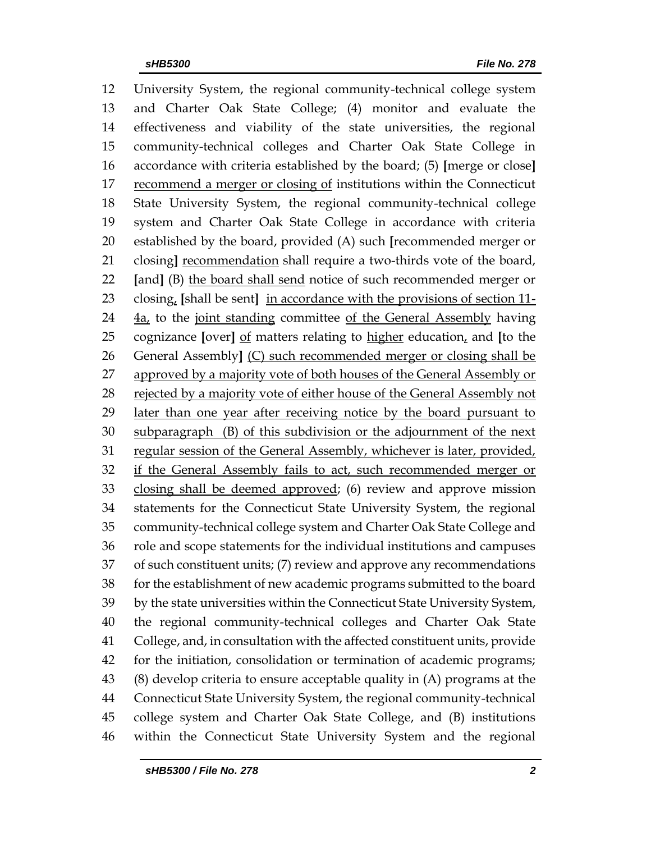University System, the regional community-technical college system and Charter Oak State College; (4) monitor and evaluate the effectiveness and viability of the state universities, the regional community-technical colleges and Charter Oak State College in accordance with criteria established by the board; (5) **[**merge or close**]** 17 recommend a merger or closing of institutions within the Connecticut State University System, the regional community-technical college system and Charter Oak State College in accordance with criteria established by the board, provided (A) such **[**recommended merger or closing**]** recommendation shall require a two-thirds vote of the board, **[**and**]** (B) the board shall send notice of such recommended merger or closing, **[**shall be sent**]** in accordance with the provisions of section 11- 24 4a, to the joint standing committee of the General Assembly having cognizance **[**over**]** of matters relating to higher education, and **[**to the General Assembly**]** (C) such recommended merger or closing shall be 27 approved by a majority vote of both houses of the General Assembly or rejected by a majority vote of either house of the General Assembly not 29 later than one year after receiving notice by the board pursuant to subparagraph (B) of this subdivision or the adjournment of the next regular session of the General Assembly, whichever is later, provided, 32 if the General Assembly fails to act, such recommended merger or closing shall be deemed approved; (6) review and approve mission statements for the Connecticut State University System, the regional community-technical college system and Charter Oak State College and role and scope statements for the individual institutions and campuses of such constituent units; (7) review and approve any recommendations for the establishment of new academic programs submitted to the board by the state universities within the Connecticut State University System, the regional community-technical colleges and Charter Oak State College, and, in consultation with the affected constituent units, provide for the initiation, consolidation or termination of academic programs; (8) develop criteria to ensure acceptable quality in (A) programs at the Connecticut State University System, the regional community-technical college system and Charter Oak State College, and (B) institutions within the Connecticut State University System and the regional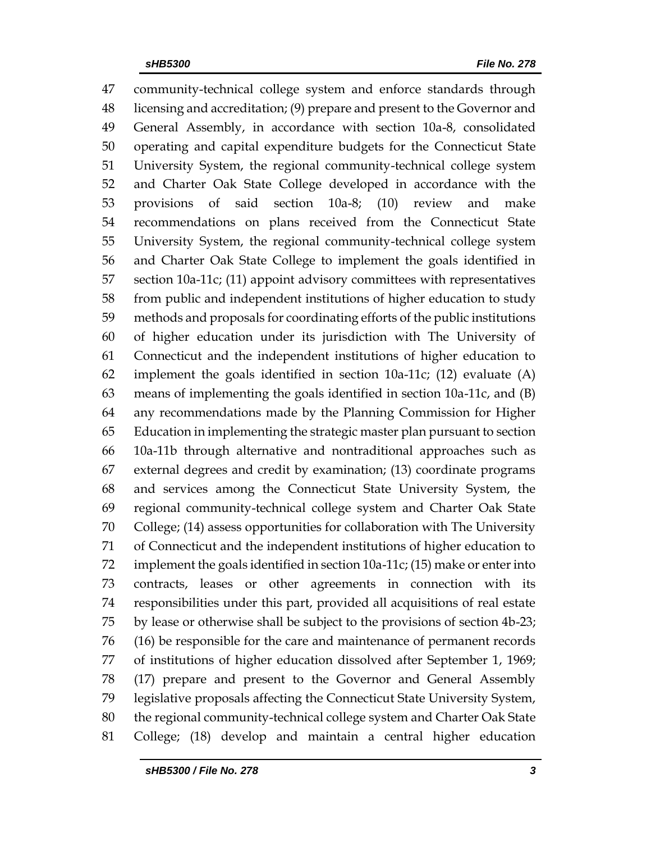community-technical college system and enforce standards through licensing and accreditation; (9) prepare and present to the Governor and General Assembly, in accordance with section 10a-8, consolidated operating and capital expenditure budgets for the Connecticut State University System, the regional community-technical college system and Charter Oak State College developed in accordance with the provisions of said section 10a-8; (10) review and make recommendations on plans received from the Connecticut State University System, the regional community-technical college system and Charter Oak State College to implement the goals identified in section 10a-11c; (11) appoint advisory committees with representatives from public and independent institutions of higher education to study methods and proposals for coordinating efforts of the public institutions of higher education under its jurisdiction with The University of Connecticut and the independent institutions of higher education to implement the goals identified in section 10a-11c; (12) evaluate (A) means of implementing the goals identified in section 10a-11c, and (B) any recommendations made by the Planning Commission for Higher Education in implementing the strategic master plan pursuant to section 10a-11b through alternative and nontraditional approaches such as external degrees and credit by examination; (13) coordinate programs and services among the Connecticut State University System, the regional community-technical college system and Charter Oak State College; (14) assess opportunities for collaboration with The University of Connecticut and the independent institutions of higher education to implement the goals identified in section 10a-11c; (15) make or enter into contracts, leases or other agreements in connection with its responsibilities under this part, provided all acquisitions of real estate by lease or otherwise shall be subject to the provisions of section 4b-23; (16) be responsible for the care and maintenance of permanent records of institutions of higher education dissolved after September 1, 1969; (17) prepare and present to the Governor and General Assembly legislative proposals affecting the Connecticut State University System, the regional community-technical college system and Charter Oak State College; (18) develop and maintain a central higher education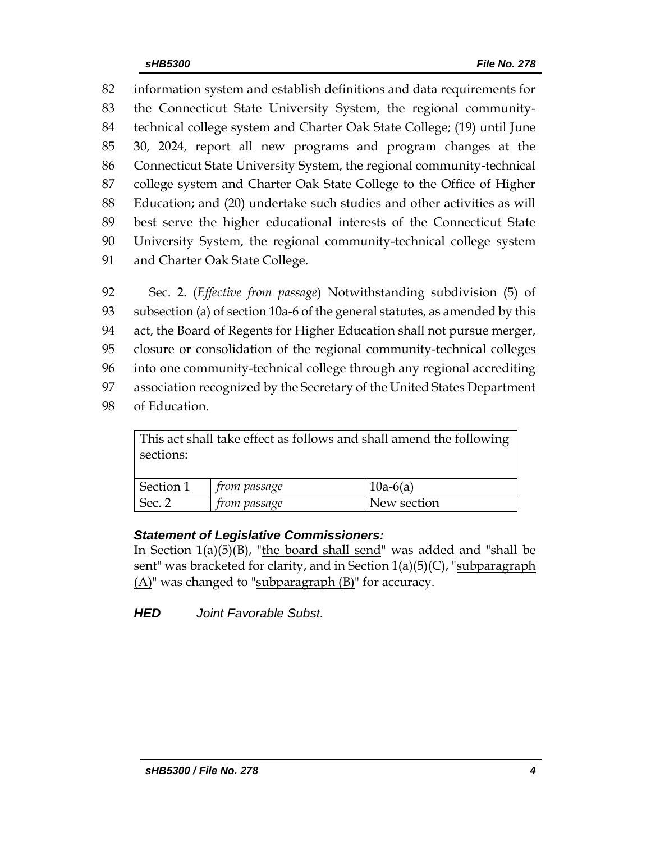information system and establish definitions and data requirements for the Connecticut State University System, the regional community- technical college system and Charter Oak State College; (19) until June 30, 2024, report all new programs and program changes at the Connecticut State University System, the regional community-technical college system and Charter Oak State College to the Office of Higher Education; and (20) undertake such studies and other activities as will best serve the higher educational interests of the Connecticut State University System, the regional community-technical college system and Charter Oak State College.

 Sec. 2. (*Effective from passage*) Notwithstanding subdivision (5) of subsection (a) of section 10a-6 of the general statutes, as amended by this act, the Board of Regents for Higher Education shall not pursue merger, closure or consolidation of the regional community-technical colleges into one community-technical college through any regional accrediting association recognized by the Secretary of the United States Department of Education.

This act shall take effect as follows and shall amend the following sections: Section 1 *from passage* 10a-6(a) Sec. 2 *from passage* New section

## *Statement of Legislative Commissioners:*

In Section  $1(a)(5)(B)$ , "the board shall send" was added and "shall be sent" was bracketed for clarity, and in Section  $1(a)(5)(C)$ , "subparagraph (A)" was changed to "subparagraph (B)" for accuracy.

*HED Joint Favorable Subst.*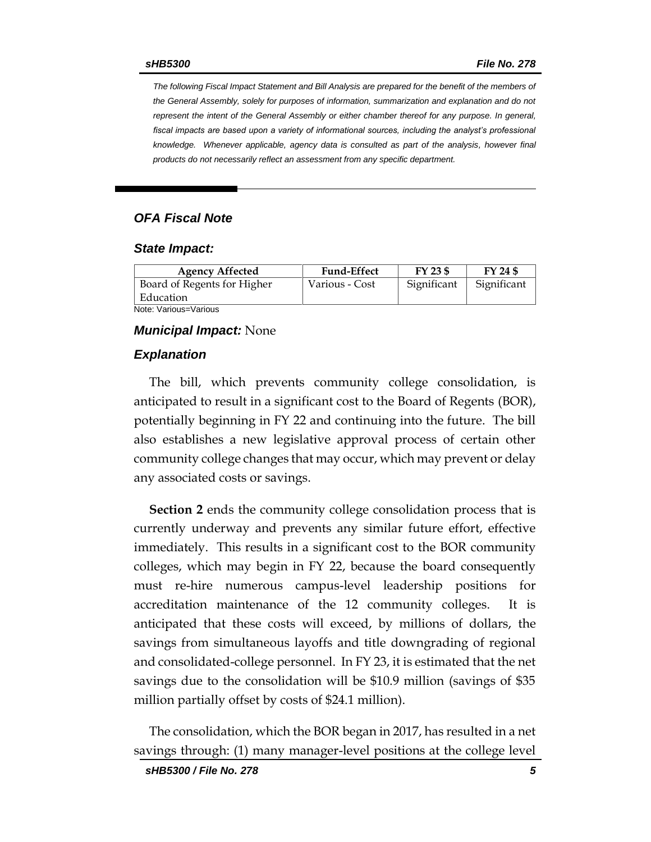*The following Fiscal Impact Statement and Bill Analysis are prepared for the benefit of the members of the General Assembly, solely for purposes of information, summarization and explanation and do not represent the intent of the General Assembly or either chamber thereof for any purpose. In general,*  fiscal impacts are based upon a variety of informational sources, including the analyst's professional *knowledge. Whenever applicable, agency data is consulted as part of the analysis, however final products do not necessarily reflect an assessment from any specific department.*

#### *OFA Fiscal Note*

#### *State Impact:*

| <b>Agency Affected</b>      | <b>Fund-Effect</b> | FY 23 \$    | FY 24 \$    |
|-----------------------------|--------------------|-------------|-------------|
| Board of Regents for Higher | Various - Cost     | Significant | Significant |
| Education                   |                    |             |             |
| Note: Various=Various       |                    |             |             |

#### *Municipal Impact:* None

#### *Explanation*

The bill, which prevents community college consolidation, is anticipated to result in a significant cost to the Board of Regents (BOR), potentially beginning in FY 22 and continuing into the future. The bill also establishes a new legislative approval process of certain other community college changes that may occur, which may prevent or delay any associated costs or savings.

**Section 2** ends the community college consolidation process that is currently underway and prevents any similar future effort, effective immediately. This results in a significant cost to the BOR community colleges, which may begin in FY 22, because the board consequently must re-hire numerous campus-level leadership positions for accreditation maintenance of the 12 community colleges. It is anticipated that these costs will exceed, by millions of dollars, the savings from simultaneous layoffs and title downgrading of regional and consolidated-college personnel. In FY 23, it is estimated that the net savings due to the consolidation will be \$10.9 million (savings of \$35 million partially offset by costs of \$24.1 million).

The consolidation, which the BOR began in 2017, has resulted in a net savings through: (1) many manager-level positions at the college level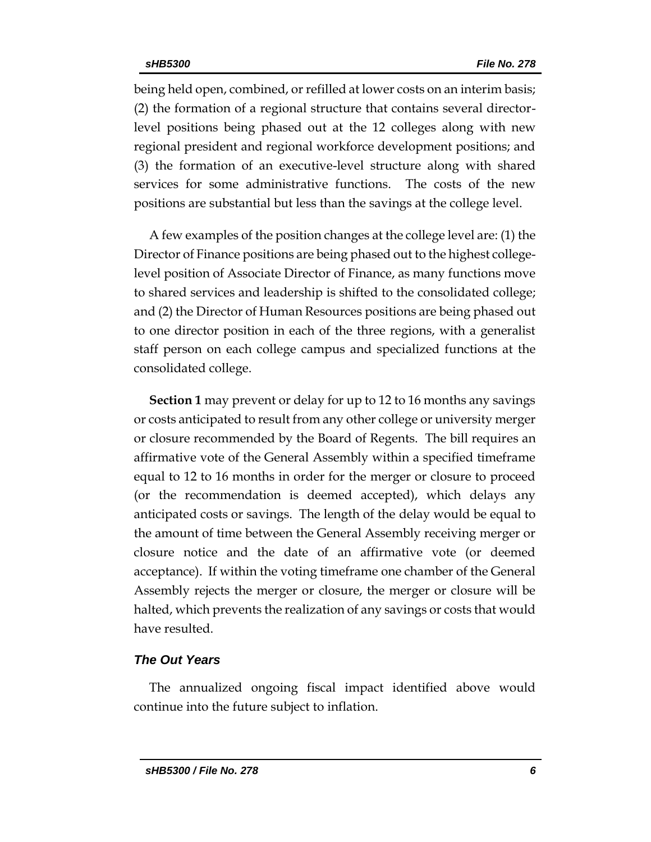being held open, combined, or refilled at lower costs on an interim basis; (2) the formation of a regional structure that contains several directorlevel positions being phased out at the 12 colleges along with new regional president and regional workforce development positions; and (3) the formation of an executive-level structure along with shared services for some administrative functions. The costs of the new positions are substantial but less than the savings at the college level.

A few examples of the position changes at the college level are: (1) the Director of Finance positions are being phased out to the highest collegelevel position of Associate Director of Finance, as many functions move to shared services and leadership is shifted to the consolidated college; and (2) the Director of Human Resources positions are being phased out to one director position in each of the three regions, with a generalist staff person on each college campus and specialized functions at the consolidated college.

**Section 1** may prevent or delay for up to 12 to 16 months any savings or costs anticipated to result from any other college or university merger or closure recommended by the Board of Regents. The bill requires an affirmative vote of the General Assembly within a specified timeframe equal to 12 to 16 months in order for the merger or closure to proceed (or the recommendation is deemed accepted), which delays any anticipated costs or savings. The length of the delay would be equal to the amount of time between the General Assembly receiving merger or closure notice and the date of an affirmative vote (or deemed acceptance). If within the voting timeframe one chamber of the General Assembly rejects the merger or closure, the merger or closure will be halted, which prevents the realization of any savings or costs that would have resulted.

### *The Out Years*

The annualized ongoing fiscal impact identified above would continue into the future subject to inflation.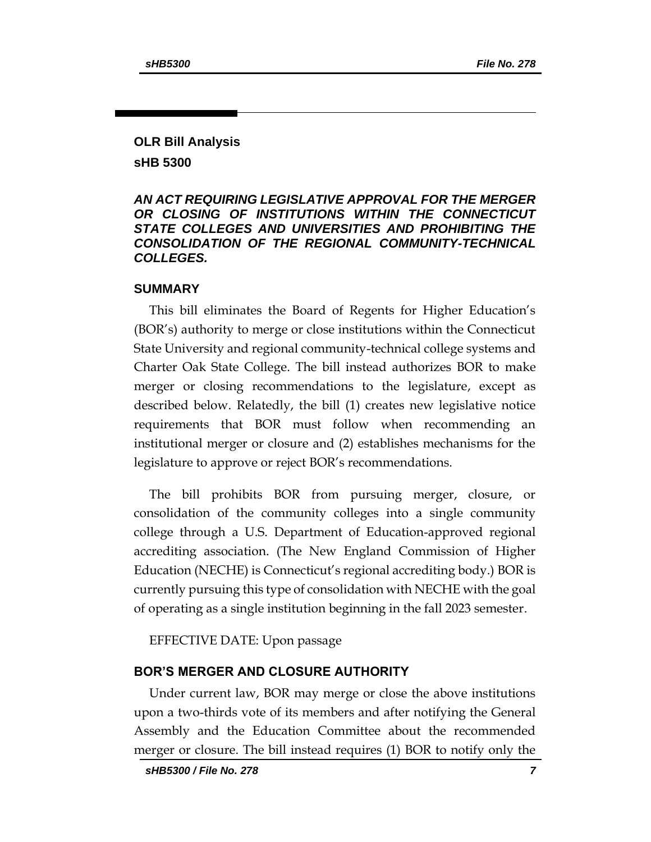## **OLR Bill Analysis sHB 5300**

### *AN ACT REQUIRING LEGISLATIVE APPROVAL FOR THE MERGER OR CLOSING OF INSTITUTIONS WITHIN THE CONNECTICUT STATE COLLEGES AND UNIVERSITIES AND PROHIBITING THE CONSOLIDATION OF THE REGIONAL COMMUNITY-TECHNICAL COLLEGES.*

#### **SUMMARY**

This bill eliminates the Board of Regents for Higher Education's (BOR's) authority to merge or close institutions within the Connecticut State University and regional community-technical college systems and Charter Oak State College. The bill instead authorizes BOR to make merger or closing recommendations to the legislature, except as described below. Relatedly, the bill (1) creates new legislative notice requirements that BOR must follow when recommending an institutional merger or closure and (2) establishes mechanisms for the legislature to approve or reject BOR's recommendations.

The bill prohibits BOR from pursuing merger, closure, or consolidation of the community colleges into a single community college through a U.S. Department of Education-approved regional accrediting association. (The New England Commission of Higher Education (NECHE) is Connecticut's regional accrediting body.) BOR is currently pursuing this type of consolidation with NECHE with the goal of operating as a single institution beginning in the fall 2023 semester.

EFFECTIVE DATE: Upon passage

### **BOR'S MERGER AND CLOSURE AUTHORITY**

Under current law, BOR may merge or close the above institutions upon a two-thirds vote of its members and after notifying the General Assembly and the Education Committee about the recommended merger or closure. The bill instead requires (1) BOR to notify only the